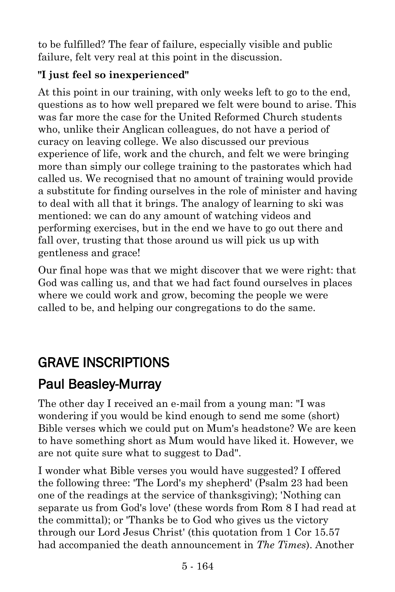to be fulfilled? The fear of failure, especially visible and public failure, felt very real at this point in the discussion.

#### **"I just feel so inexperienced"**

At this point in our training, with only weeks left to go to the end, questions as to how well prepared we felt were bound to arise. This was far more the case for the United Reformed Church students who, unlike their Anglican colleagues, do not have a period of curacy on leaving college. We also discussed our previous experience of life, work and the church, and felt we were bringing more than simply our college training to the pastorates which had called us. We recognised that no amount of training would provide a substitute for finding ourselves in the role of minister and having to deal with all that it brings. The analogy of learning to ski was mentioned: we can do any amount of watching videos and performing exercises, but in the end we have to go out there and fall over, trusting that those around us will pick us up with gentleness and grace!

Our final hope was that we might discover that we were right: that God was calling us, and that we had fact found ourselves in places where we could work and grow, becoming the people we were called to be, and helping our congregations to do the same.

# GRAVE INSCRIPTIONS

## [Paul Beasley-Murray](https://www.ministrytoday.org.uk/magazine/authors/423/)

The other day I received an e-mail from a young man: "I was wondering if you would be kind enough to send me some (short) Bible verses which we could put on Mum's headstone? We are keen to have something short as Mum would have liked it. However, we are not quite sure what to suggest to Dad".

I wonder what Bible verses you would have suggested? I offered the following three: 'The Lord's my shepherd' (Psalm 23 had been one of the readings at the service of thanksgiving); 'Nothing can separate us from God's love' (these words from Rom 8 I had read at the committal); or 'Thanks be to God who gives us the victory through our Lord Jesus Christ' (this quotation from 1 Cor 15.57 had accompanied the death announcement in *The Times*). Another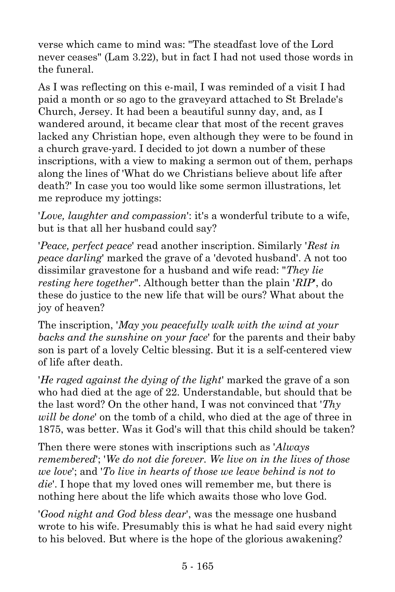verse which came to mind was: "The steadfast love of the Lord never ceases" (Lam 3.22), but in fact I had not used those words in the funeral.

As I was reflecting on this e-mail, I was reminded of a visit I had paid a month or so ago to the graveyard attached to St Brelade's Church, Jersey. It had been a beautiful sunny day, and, as I wandered around, it became clear that most of the recent graves lacked any Christian hope, even although they were to be found in a church grave-yard. I decided to jot down a number of these inscriptions, with a view to making a sermon out of them, perhaps along the lines of 'What do we Christians believe about life after death?' In case you too would like some sermon illustrations, let me reproduce my jottings:

'*Love, laughter and compassion*': it's a wonderful tribute to a wife, but is that all her husband could say?

'*Peace, perfect peace*' read another inscription. Similarly '*Rest in peace darling*' marked the grave of a 'devoted husband'. A not too dissimilar gravestone for a husband and wife read: "*They lie resting here together*". Although better than the plain '*RIP*', do these do justice to the new life that will be ours? What about the joy of heaven?

The inscription, '*May you peacefully walk with the wind at your backs and the sunshine on your face*' for the parents and their baby son is part of a lovely Celtic blessing. But it is a self-centered view of life after death.

'*He raged against the dying of the light*' marked the grave of a son who had died at the age of 22. Understandable, but should that be the last word? On the other hand, I was not convinced that '*Thy will be done*' on the tomb of a child, who died at the age of three in 1875, was better. Was it God's will that this child should be taken?

Then there were stones with inscriptions such as '*Always remembered*'; '*We do not die forever. We live on in the lives of those we love*'; and '*To live in hearts of those we leave behind is not to die*'. I hope that my loved ones will remember me, but there is nothing here about the life which awaits those who love God.

'*Good night and God bless dear*', was the message one husband wrote to his wife. Presumably this is what he had said every night to his beloved. But where is the hope of the glorious awakening?